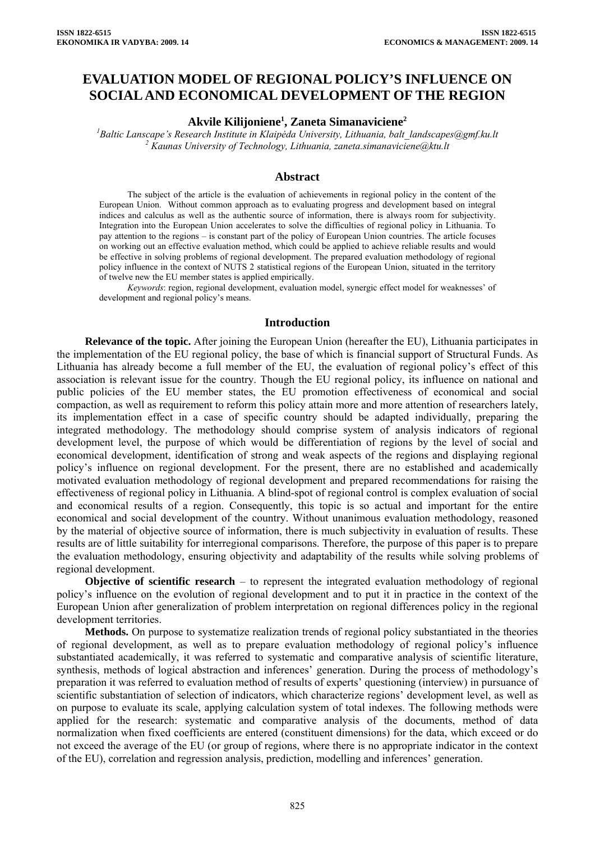# **EVALUATION MODEL OF REGIONAL POLICY'S INFLUENCE ON SOCIAL AND ECONOMICAL DEVELOPMENT OF THE REGION**

## **Akvile Kilijoniene1 , Zaneta Simanaviciene2**

*1 Baltic Lanscape's Research Institute in Klaipėda University, Lithuania, balt\_landscapes@gmf.ku.lt 2 Kaunas University of Technology, Lithuania, zaneta.simanaviciene@ktu.lt* 

### **Abstract**

The subject of the article is the evaluation of achievements in regional policy in the content of the European Union. Without common approach as to evaluating progress and development based on integral indices and calculus as well as the authentic source of information, there is always room for subjectivity. Integration into the European Union accelerates to solve the difficulties of regional policy in Lithuania. To pay attention to the regions – is constant part of the policy of European Union countries. The article focuses on working out an effective evaluation method, which could be applied to achieve reliable results and would be effective in solving problems of regional development. The prepared evaluation methodology of regional policy influence in the context of NUTS 2 statistical regions of the European Union, situated in the territory of twelve new the EU member states is applied empirically.

*Keywords*: region, regional development, evaluation model, synergic effect model for weaknesses' of development and regional policy's means.

#### **Introduction**

**Relevance of the topic.** After joining the European Union (hereafter the EU), Lithuania participates in the implementation of the EU regional policy, the base of which is financial support of Structural Funds. As Lithuania has already become a full member of the EU, the evaluation of regional policy's effect of this association is relevant issue for the country. Though the EU regional policy, its influence on national and public policies of the EU member states, the EU promotion effectiveness of economical and social compaction, as well as requirement to reform this policy attain more and more attention of researchers lately, its implementation effect in a case of specific country should be adapted individually, preparing the integrated methodology. The methodology should comprise system of analysis indicators of regional development level, the purpose of which would be differentiation of regions by the level of social and economical development, identification of strong and weak aspects of the regions and displaying regional policy's influence on regional development. For the present, there are no established and academically motivated evaluation methodology of regional development and prepared recommendations for raising the effectiveness of regional policy in Lithuania. A blind-spot of regional control is complex evaluation of social and economical results of a region. Consequently, this topic is so actual and important for the entire economical and social development of the country. Without unanimous evaluation methodology, reasoned by the material of objective source of information, there is much subjectivity in evaluation of results. These results are of little suitability for interregional comparisons. Therefore, the purpose of this paper is to prepare the evaluation methodology, ensuring objectivity and adaptability of the results while solving problems of regional development.

**Objective of scientific research** – to represent the integrated evaluation methodology of regional policy's influence on the evolution of regional development and to put it in practice in the context of the European Union after generalization of problem interpretation on regional differences policy in the regional development territories.

**Methods.** On purpose to systematize realization trends of regional policy substantiated in the theories of regional development, as well as to prepare evaluation methodology of regional policy's influence substantiated academically, it was referred to systematic and comparative analysis of scientific literature, synthesis, methods of logical abstraction and inferences' generation. During the process of methodology's preparation it was referred to evaluation method of results of experts' questioning (interview) in pursuance of scientific substantiation of selection of indicators, which characterize regions' development level, as well as on purpose to evaluate its scale, applying calculation system of total indexes. The following methods were applied for the research: systematic and comparative analysis of the documents, method of data normalization when fixed coefficients are entered (constituent dimensions) for the data, which exceed or do not exceed the average of the EU (or group of regions, where there is no appropriate indicator in the context of the EU), correlation and regression analysis, prediction, modelling and inferences' generation.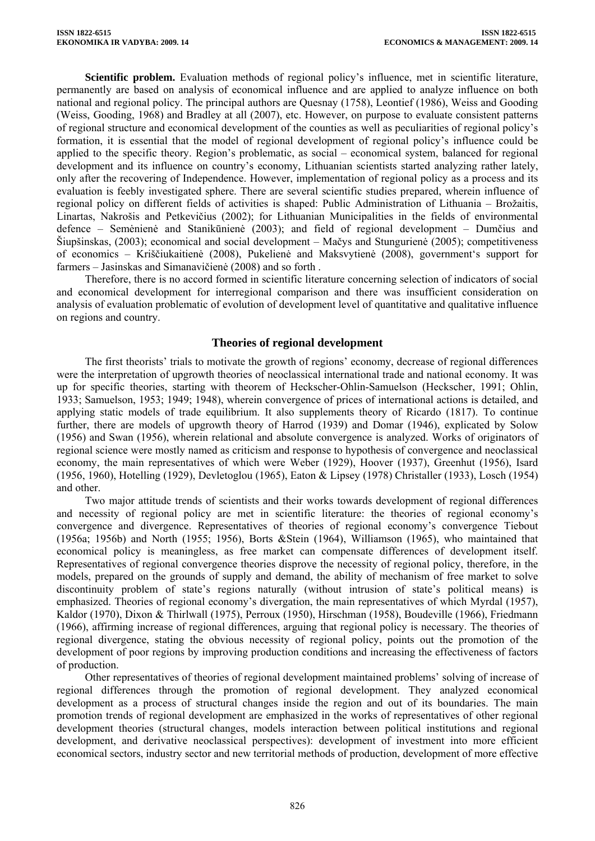**Scientific problem.** Evaluation methods of regional policy's influence, met in scientific literature, permanently are based on analysis of economical influence and are applied to analyze influence on both national and regional policy. The principal authors are Quesnay (1758), Leontief (1986), Weiss and Gooding (Weiss, Gooding, 1968) and Bradley at all (2007), etc. However, on purpose to evaluate consistent patterns of regional structure and economical development of the counties as well as peculiarities of regional policy's formation, it is essential that the model of regional development of regional policy's influence could be applied to the specific theory. Region's problematic, as social – economical system, balanced for regional development and its influence on country's economy, Lithuanian scientists started analyzing rather lately, only after the recovering of Independence. However, implementation of regional policy as a process and its evaluation is feebly investigated sphere. There are several scientific studies prepared, wherein influence of regional policy on different fields of activities is shaped: Public Administration of Lithuania – Brožaitis, Linartas, Nakrošis and Petkevičius (2002); for Lithuanian Municipalities in the fields of environmental defence – Semėnienė and Stanikūnienė (2003); and field of regional development – Dumčius and Šiupšinskas, (2003); economical and social development – Mačys and Stungurienė (2005); competitiveness of economics – Kriščiukaitienė (2008), Pukelienė and Maksvytienė (2008), government's support for farmers – Jasinskas and Simanavičienė (2008) and so forth .

Therefore, there is no accord formed in scientific literature concerning selection of indicators of social and economical development for interregional comparison and there was insufficient consideration on analysis of evaluation problematic of evolution of development level of quantitative and qualitative influence on regions and country.

## **Theories of regional development**

The first theorists' trials to motivate the growth of regions' economy, decrease of regional differences were the interpretation of upgrowth theories of neoclassical international trade and national economy. It was up for specific theories, starting with theorem of Heckscher-Ohlin-Samuelson (Heckscher, 1991; Ohlin, 1933; Samuelson, 1953; 1949; 1948), wherein convergence of prices of international actions is detailed, and applying static models of trade equilibrium. It also supplements theory of Ricardo (1817). To continue further, there are models of upgrowth theory of Harrod (1939) and Domar (1946), explicated by Solow (1956) and Swan (1956), wherein relational and absolute convergence is analyzed. Works of originators of regional science were mostly named as criticism and response to hypothesis of convergence and neoclassical economy, the main representatives of which were Weber (1929), Hoover (1937), Greenhut (1956), Isard (1956, 1960), Hotelling (1929), Devletoglou (1965), Eaton & Lipsey (1978) Christaller (1933), Losch (1954) and other.

Two major attitude trends of scientists and their works towards development of regional differences and necessity of regional policy are met in scientific literature: the theories of regional economy's convergence and divergence. Representatives of theories of regional economy's convergence Tiebout (1956a; 1956b) and North (1955; 1956), Borts &Stein (1964), Williamson (1965), who maintained that economical policy is meaningless, as free market can compensate differences of development itself. Representatives of regional convergence theories disprove the necessity of regional policy, therefore, in the models, prepared on the grounds of supply and demand, the ability of mechanism of free market to solve discontinuity problem of state's regions naturally (without intrusion of state's political means) is emphasized. Theories of regional economy's divergation, the main representatives of which Myrdal (1957), Kaldor (1970), Dixon & Thirlwall (1975), Perroux (1950), Hirschman (1958), Boudeville (1966), Friedmann (1966), affirming increase of regional differences, arguing that regional policy is necessary. The theories of regional divergence, stating the obvious necessity of regional policy, points out the promotion of the development of poor regions by improving production conditions and increasing the effectiveness of factors of production.

Other representatives of theories of regional development maintained problems' solving of increase of regional differences through the promotion of regional development. They analyzed economical development as a process of structural changes inside the region and out of its boundaries. The main promotion trends of regional development are emphasized in the works of representatives of other regional development theories (structural changes, models interaction between political institutions and regional development, and derivative neoclassical perspectives): development of investment into more efficient economical sectors, industry sector and new territorial methods of production, development of more effective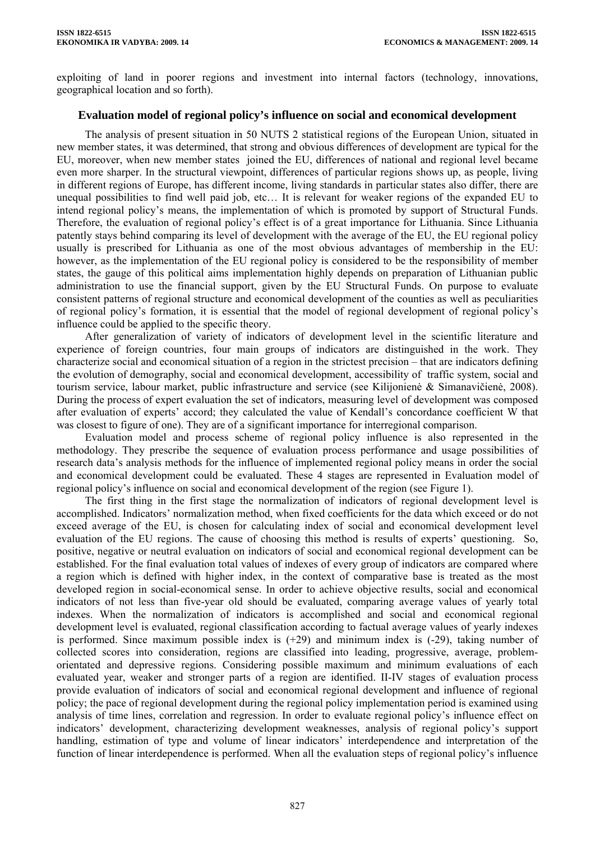exploiting of land in poorer regions and investment into internal factors (technology, innovations, geographical location and so forth).

# **Evaluation model of regional policy's influence on social and economical development**

The analysis of present situation in 50 NUTS 2 statistical regions of the European Union, situated in new member states, it was determined, that strong and obvious differences of development are typical for the EU, moreover, when new member states joined the EU, differences of national and regional level became even more sharper. In the structural viewpoint, differences of particular regions shows up, as people, living in different regions of Europe, has different income, living standards in particular states also differ, there are unequal possibilities to find well paid job, etc… It is relevant for weaker regions of the expanded EU to intend regional policy's means, the implementation of which is promoted by support of Structural Funds. Therefore, the evaluation of regional policy's effect is of a great importance for Lithuania. Since Lithuania patently stays behind comparing its level of development with the average of the EU, the EU regional policy usually is prescribed for Lithuania as one of the most obvious advantages of membership in the EU: however, as the implementation of the EU regional policy is considered to be the responsibility of member states, the gauge of this political aims implementation highly depends on preparation of Lithuanian public administration to use the financial support, given by the EU Structural Funds. On purpose to evaluate consistent patterns of regional structure and economical development of the counties as well as peculiarities of regional policy's formation, it is essential that the model of regional development of regional policy's influence could be applied to the specific theory.

After generalization of variety of indicators of development level in the scientific literature and experience of foreign countries, four main groups of indicators are distinguished in the work. They characterize social and economical situation of a region in the strictest precision – that are indicators defining the evolution of demography, social and economical development, accessibility of traffic system, social and tourism service, labour market, public infrastructure and service (see Kilijonienė & Simanavičienė, 2008). During the process of expert evaluation the set of indicators, measuring level of development was composed after evaluation of experts' accord; they calculated the value of Kendall's concordance coefficient W that was closest to figure of one). They are of a significant importance for interregional comparison.

Evaluation model and process scheme of regional policy influence is also represented in the methodology. They prescribe the sequence of evaluation process performance and usage possibilities of research data's analysis methods for the influence of implemented regional policy means in order the social and economical development could be evaluated. These 4 stages are represented in Evaluation model of regional policy's influence on social and economical development of the region (see Figure 1).

The first thing in the first stage the normalization of indicators of regional development level is accomplished. Indicators' normalization method, when fixed coefficients for the data which exceed or do not exceed average of the EU, is chosen for calculating index of social and economical development level evaluation of the EU regions. The cause of choosing this method is results of experts' questioning. So, positive, negative or neutral evaluation on indicators of social and economical regional development can be established. For the final evaluation total values of indexes of every group of indicators are compared where a region which is defined with higher index, in the context of comparative base is treated as the most developed region in social-economical sense. In order to achieve objective results, social and economical indicators of not less than five-year old should be evaluated, comparing average values of yearly total indexes. When the normalization of indicators is accomplished and social and economical regional development level is evaluated, regional classification according to factual average values of yearly indexes is performed. Since maximum possible index is  $(+29)$  and minimum index is  $(-29)$ , taking number of collected scores into consideration, regions are classified into leading, progressive, average, problemorientated and depressive regions. Considering possible maximum and minimum evaluations of each evaluated year, weaker and stronger parts of a region are identified. II-IV stages of evaluation process provide evaluation of indicators of social and economical regional development and influence of regional policy; the pace of regional development during the regional policy implementation period is examined using analysis of time lines, correlation and regression. In order to evaluate regional policy's influence effect on indicators' development, characterizing development weaknesses, analysis of regional policy's support handling, estimation of type and volume of linear indicators' interdependence and interpretation of the function of linear interdependence is performed. When all the evaluation steps of regional policy's influence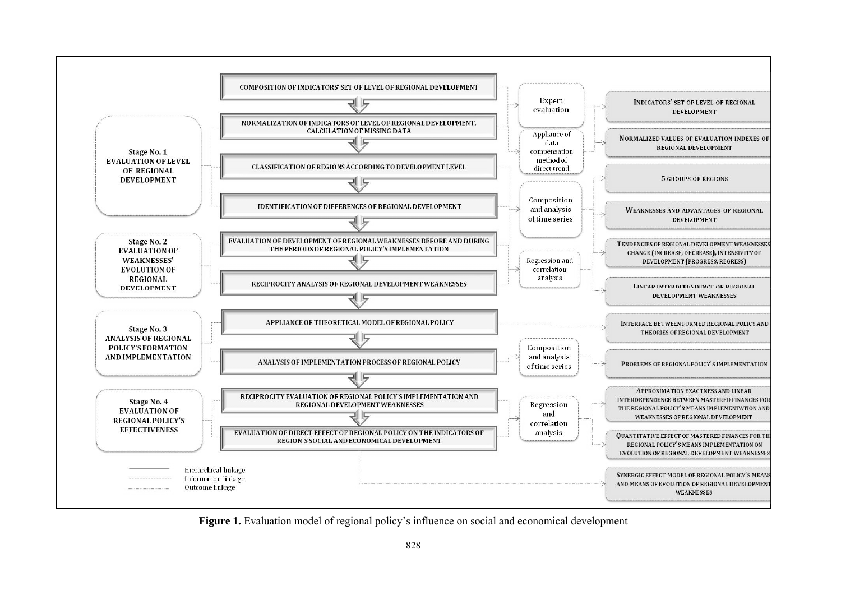

**Figure 1.** Evaluation model of regional policy's influence on social and economical development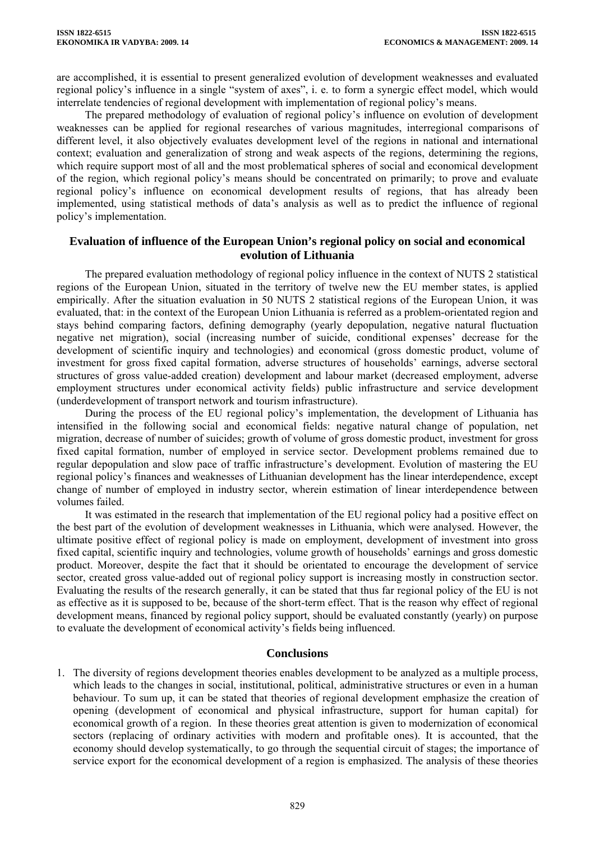are accomplished, it is essential to present generalized evolution of development weaknesses and evaluated regional policy's influence in a single "system of axes", i. e. to form a synergic effect model, which would interrelate tendencies of regional development with implementation of regional policy's means.

The prepared methodology of evaluation of regional policy's influence on evolution of development weaknesses can be applied for regional researches of various magnitudes, interregional comparisons of different level, it also objectively evaluates development level of the regions in national and international context; evaluation and generalization of strong and weak aspects of the regions, determining the regions, which require support most of all and the most problematical spheres of social and economical development of the region, which regional policy's means should be concentrated on primarily; to prove and evaluate regional policy's influence on economical development results of regions, that has already been implemented, using statistical methods of data's analysis as well as to predict the influence of regional policy's implementation.

## **Evaluation of influence of the European Union's regional policy on social and economical evolution of Lithuania**

The prepared evaluation methodology of regional policy influence in the context of NUTS 2 statistical regions of the European Union, situated in the territory of twelve new the EU member states, is applied empirically. After the situation evaluation in 50 NUTS 2 statistical regions of the European Union, it was evaluated, that: in the context of the European Union Lithuania is referred as a problem-orientated region and stays behind comparing factors, defining demography (yearly depopulation, negative natural fluctuation negative net migration), social (increasing number of suicide, conditional expenses' decrease for the development of scientific inquiry and technologies) and economical (gross domestic product, volume of investment for gross fixed capital formation, adverse structures of households' earnings, adverse sectoral structures of gross value-added creation) development and labour market (decreased employment, adverse employment structures under economical activity fields) public infrastructure and service development (underdevelopment of transport network and tourism infrastructure).

During the process of the EU regional policy's implementation, the development of Lithuania has intensified in the following social and economical fields: negative natural change of population, net migration, decrease of number of suicides; growth of volume of gross domestic product, investment for gross fixed capital formation, number of employed in service sector. Development problems remained due to regular depopulation and slow pace of traffic infrastructure's development. Evolution of mastering the EU regional policy's finances and weaknesses of Lithuanian development has the linear interdependence, except change of number of employed in industry sector, wherein estimation of linear interdependence between volumes failed.

It was estimated in the research that implementation of the EU regional policy had a positive effect on the best part of the evolution of development weaknesses in Lithuania, which were analysed. However, the ultimate positive effect of regional policy is made on employment, development of investment into gross fixed capital, scientific inquiry and technologies, volume growth of households' earnings and gross domestic product. Moreover, despite the fact that it should be orientated to encourage the development of service sector, created gross value-added out of regional policy support is increasing mostly in construction sector. Evaluating the results of the research generally, it can be stated that thus far regional policy of the EU is not as effective as it is supposed to be, because of the short-term effect. That is the reason why effect of regional development means, financed by regional policy support, should be evaluated constantly (yearly) on purpose to evaluate the development of economical activity's fields being influenced.

# **Conclusions**

1. The diversity of regions development theories enables development to be analyzed as a multiple process, which leads to the changes in social, institutional, political, administrative structures or even in a human behaviour. To sum up, it can be stated that theories of regional development emphasize the creation of opening (development of economical and physical infrastructure, support for human capital) for economical growth of a region. In these theories great attention is given to modernization of economical sectors (replacing of ordinary activities with modern and profitable ones). It is accounted, that the economy should develop systematically, to go through the sequential circuit of stages; the importance of service export for the economical development of a region is emphasized. The analysis of these theories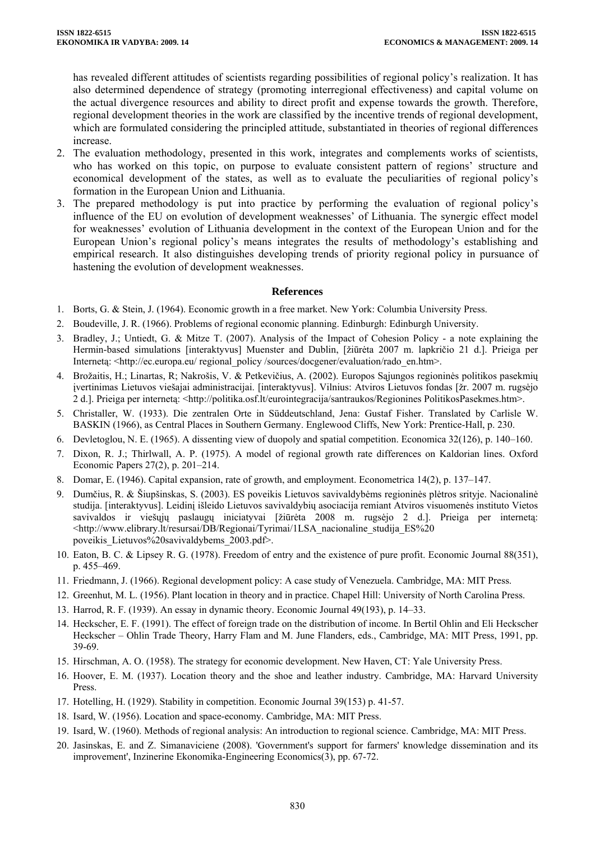has revealed different attitudes of scientists regarding possibilities of regional policy's realization. It has also determined dependence of strategy (promoting interregional effectiveness) and capital volume on the actual divergence resources and ability to direct profit and expense towards the growth. Therefore, regional development theories in the work are classified by the incentive trends of regional development, which are formulated considering the principled attitude, substantiated in theories of regional differences increase.

- 2. The evaluation methodology, presented in this work, integrates and complements works of scientists, who has worked on this topic, on purpose to evaluate consistent pattern of regions' structure and economical development of the states, as well as to evaluate the peculiarities of regional policy's formation in the European Union and Lithuania.
- 3. The prepared methodology is put into practice by performing the evaluation of regional policy's influence of the EU on evolution of development weaknesses' of Lithuania. The synergic effect model for weaknesses' evolution of Lithuania development in the context of the European Union and for the European Union's regional policy's means integrates the results of methodology's establishing and empirical research. It also distinguishes developing trends of priority regional policy in pursuance of hastening the evolution of development weaknesses.

#### **References**

- 1. Borts, G. & Stein, J. (1964). Economic growth in a free market. New York: Columbia University Press.
- 2. Boudeville, J. R. (1966). Problems of regional economic planning. Edinburgh: Edinburgh University.
- 3. Bradley, J.; Untiedt, G. & Mitze T. (2007). Analysis of the Impact of Cohesion Policy a note explaining the Hermin-based simulations [interaktyvus] Muenster and Dublin, [žiūrėta 2007 m. lapkričio 21 d.]. Prieiga per Interneta: <http://ec.europa.eu/ regional\_policy /sources/docgener/evaluation/rado\_en.htm>.
- 4. Brožaitis, H.; Linartas, R; Nakrošis, V. & Petkevičius, A. (2002). Europos Sąjungos regioninės politikos pasekmių įvertinimas Lietuvos viešajai administracijai. [interaktyvus]. Vilnius: Atviros Lietuvos fondas [žr. 2007 m. rugsėjo 2 d.]. Prieiga per internetą: <http://politika.osf.lt/eurointegracija/santraukos/Regionines PolitikosPasekmes.htm>.
- 5. Christaller, W. (1933). Die zentralen Orte in Süddeutschland, Jena: Gustaf Fisher. Translated by Carlisle W. BASKIN (1966), as Central Places in Southern Germany. Englewood Cliffs, New York: Prentice-Hall, p. 230.
- 6. Devletoglou, N. E. (1965). A dissenting view of duopoly and spatial competition. Economica 32(126), p. 140–160.
- 7. Dixon, R. J.; Thirlwall, A. P. (1975). A model of regional growth rate differences on Kaldorian lines. Oxford Economic Papers 27(2), p. 201–214.
- 8. Domar, E. (1946). Capital expansion, rate of growth, and employment. Econometrica 14(2), p. 137–147.
- 9. Dumčius, R. & Šiupšinskas, S. (2003). ES poveikis Lietuvos savivaldybėms regioninės plėtros srityje. Nacionalinė studija. [interaktyvus]. Leidinį išleido Lietuvos savivaldybių asociacija remiant Atviros visuomenės instituto Vietos savivaldos ir viešųjų paslaugų iniciatyvai [žiūrėta 2008 m. rugsėjo 2 d.]. Prieiga per internetą: <http://www.elibrary.lt/resursai/DB/Regionai/Tyrimai/1LSA\_nacionaline\_studija\_ES%20 poveikis\_Lietuvos%20savivaldybems\_2003.pdf>.
- 10. Eaton, B. C. & Lipsey R. G. (1978). Freedom of entry and the existence of pure profit. Economic Journal 88(351), p. 455–469.
- 11. Friedmann, J. (1966). Regional development policy: A case study of Venezuela. Cambridge, MA: MIT Press.
- 12. Greenhut, M. L. (1956). Plant location in theory and in practice. Chapel Hill: University of North Carolina Press.
- 13. Harrod, R. F. (1939). An essay in dynamic theory. Economic Journal 49(193), p. 14–33.
- 14. Heckscher, E. F. (1991). The effect of foreign trade on the distribution of income. In Bertil Ohlin and Eli Heckscher Heckscher – Ohlin Trade Theory, Harry Flam and M. June Flanders, eds., Cambridge, MA: MIT Press, 1991, pp. 39-69.
- 15. Hirschman, A. O. (1958). The strategy for economic development. New Haven, CT: Yale University Press.
- 16. Hoover, E. M. (1937). Location theory and the shoe and leather industry. Cambridge, MA: Harvard University Press.
- 17. Hotelling, H. (1929). Stability in competition. Economic Journal 39(153) p. 41-57.
- 18. Isard, W. (1956). Location and space-economy. Cambridge, MA: MIT Press.
- 19. Isard, W. (1960). Methods of regional analysis: An introduction to regional science. Cambridge, MA: MIT Press.
- 20. Jasinskas, E. and Z. Simanaviciene (2008). 'Government's support for farmers' knowledge dissemination and its improvement', Inzinerine Ekonomika-Engineering Economics(3), pp. 67-72.